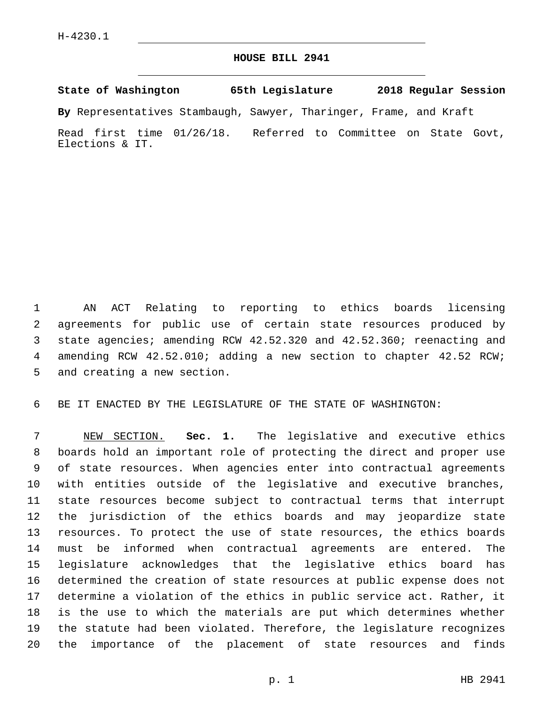## **HOUSE BILL 2941**

**State of Washington 65th Legislature 2018 Regular Session**

**By** Representatives Stambaugh, Sawyer, Tharinger, Frame, and Kraft

Read first time 01/26/18. Referred to Committee on State Govt, Elections & IT.

 AN ACT Relating to reporting to ethics boards licensing agreements for public use of certain state resources produced by state agencies; amending RCW 42.52.320 and 42.52.360; reenacting and amending RCW 42.52.010; adding a new section to chapter 42.52 RCW; 5 and creating a new section.

BE IT ENACTED BY THE LEGISLATURE OF THE STATE OF WASHINGTON:

 NEW SECTION. **Sec. 1.** The legislative and executive ethics boards hold an important role of protecting the direct and proper use of state resources. When agencies enter into contractual agreements with entities outside of the legislative and executive branches, state resources become subject to contractual terms that interrupt the jurisdiction of the ethics boards and may jeopardize state resources. To protect the use of state resources, the ethics boards must be informed when contractual agreements are entered. The legislature acknowledges that the legislative ethics board has determined the creation of state resources at public expense does not determine a violation of the ethics in public service act. Rather, it is the use to which the materials are put which determines whether the statute had been violated. Therefore, the legislature recognizes the importance of the placement of state resources and finds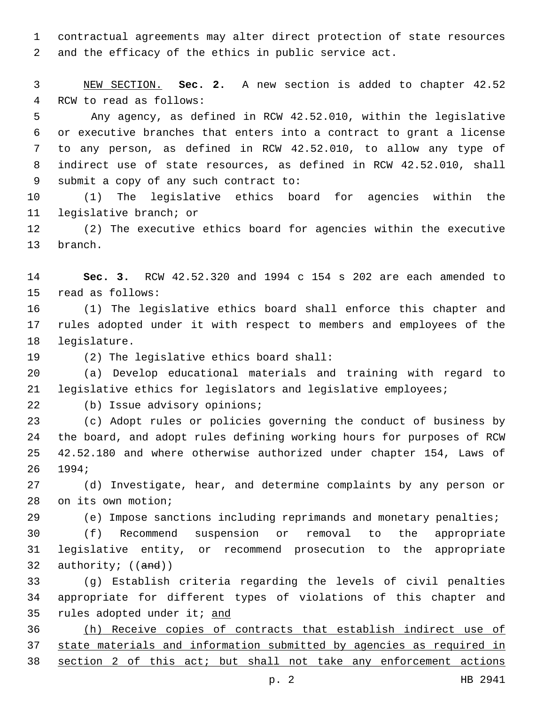contractual agreements may alter direct protection of state resources and the efficacy of the ethics in public service act.

 NEW SECTION. **Sec. 2.** A new section is added to chapter 42.52 RCW to read as follows:

5 Any agency, as defined in RCW 42.52.010, within the legislative or executive branches that enters into a contract to grant a license to any person, as defined in RCW 42.52.010, to allow any type of indirect use of state resources, as defined in RCW 42.52.010, shall 9 submit a copy of any such contract to:

 (1) The legislative ethics board for agencies within the 11 legislative branch; or

 (2) The executive ethics board for agencies within the executive 13 branch.

 **Sec. 3.** RCW 42.52.320 and 1994 c 154 s 202 are each amended to 15 read as follows:

 (1) The legislative ethics board shall enforce this chapter and rules adopted under it with respect to members and employees of the 18 legislature.

19 (2) The legislative ethics board shall:

 (a) Develop educational materials and training with regard to legislative ethics for legislators and legislative employees;

22 (b) Issue advisory opinions;

 (c) Adopt rules or policies governing the conduct of business by the board, and adopt rules defining working hours for purposes of RCW 42.52.180 and where otherwise authorized under chapter 154, Laws of 1994;26

 (d) Investigate, hear, and determine complaints by any person or 28 on its own motion;

(e) Impose sanctions including reprimands and monetary penalties;

 (f) Recommend suspension or removal to the appropriate legislative entity, or recommend prosecution to the appropriate 32 authority; ((and))

 (g) Establish criteria regarding the levels of civil penalties appropriate for different types of violations of this chapter and 35 rules adopted under it; and

 (h) Receive copies of contracts that establish indirect use of state materials and information submitted by agencies as required in section 2 of this act; but shall not take any enforcement actions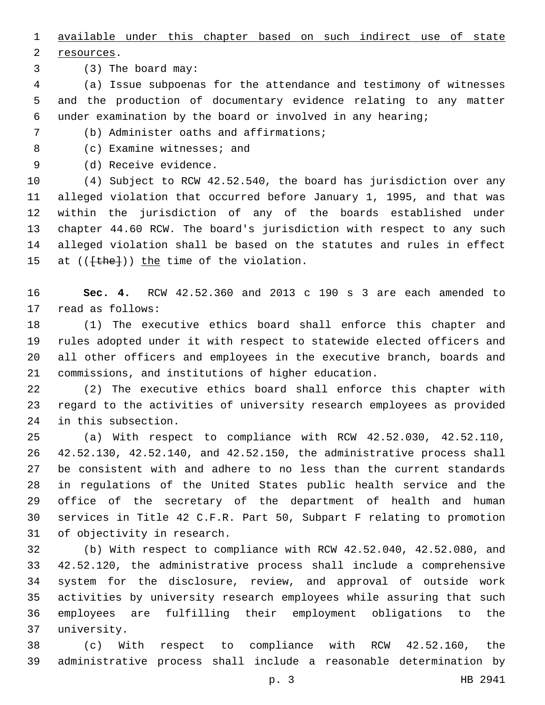available under this chapter based on such indirect use of state

2 resources.

3 (3) The board may:

 (a) Issue subpoenas for the attendance and testimony of witnesses and the production of documentary evidence relating to any matter under examination by the board or involved in any hearing;

(b) Administer oaths and affirmations;7

8 (c) Examine witnesses; and

9 (d) Receive evidence.

 (4) Subject to RCW 42.52.540, the board has jurisdiction over any alleged violation that occurred before January 1, 1995, and that was within the jurisdiction of any of the boards established under chapter 44.60 RCW. The board's jurisdiction with respect to any such alleged violation shall be based on the statutes and rules in effect 15 at  $((\text{+the-}))$  the time of the violation.

 **Sec. 4.** RCW 42.52.360 and 2013 c 190 s 3 are each amended to 17 read as follows:

 (1) The executive ethics board shall enforce this chapter and rules adopted under it with respect to statewide elected officers and all other officers and employees in the executive branch, boards and commissions, and institutions of higher education.

 (2) The executive ethics board shall enforce this chapter with regard to the activities of university research employees as provided 24 in this subsection.

 (a) With respect to compliance with RCW 42.52.030, 42.52.110, 42.52.130, 42.52.140, and 42.52.150, the administrative process shall be consistent with and adhere to no less than the current standards in regulations of the United States public health service and the office of the secretary of the department of health and human services in Title 42 C.F.R. Part 50, Subpart F relating to promotion 31 of objectivity in research.

 (b) With respect to compliance with RCW 42.52.040, 42.52.080, and 42.52.120, the administrative process shall include a comprehensive system for the disclosure, review, and approval of outside work activities by university research employees while assuring that such employees are fulfilling their employment obligations to the university.37

 (c) With respect to compliance with RCW 42.52.160, the administrative process shall include a reasonable determination by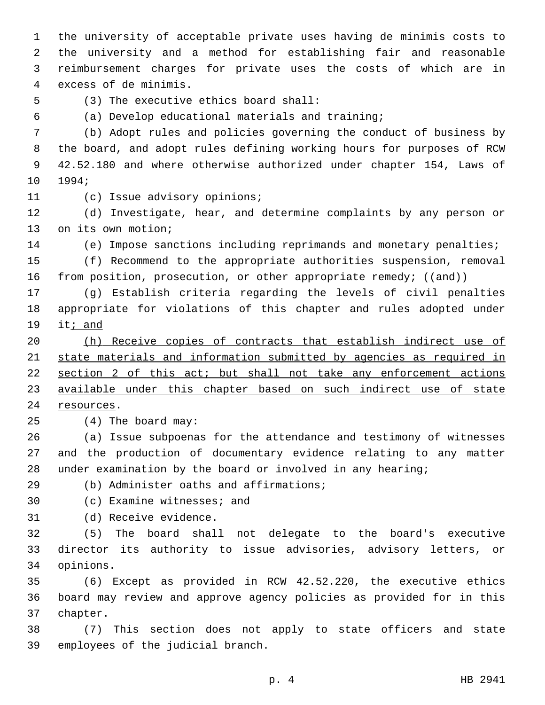the university of acceptable private uses having de minimis costs to the university and a method for establishing fair and reasonable reimbursement charges for private uses the costs of which are in excess of de minimis.4

(3) The executive ethics board shall:5

(a) Develop educational materials and training;

 (b) Adopt rules and policies governing the conduct of business by the board, and adopt rules defining working hours for purposes of RCW 42.52.180 and where otherwise authorized under chapter 154, Laws of 10 1994;

11 (c) Issue advisory opinions;

 (d) Investigate, hear, and determine complaints by any person or 13 on its own motion;

(e) Impose sanctions including reprimands and monetary penalties;

 (f) Recommend to the appropriate authorities suspension, removal 16 from position, prosecution, or other appropriate remedy; ((and))

 (g) Establish criteria regarding the levels of civil penalties appropriate for violations of this chapter and rules adopted under it; and

 (h) Receive copies of contracts that establish indirect use of state materials and information submitted by agencies as required in section 2 of this act; but shall not take any enforcement actions available under this chapter based on such indirect use of state 24 resources.

25 (4) The board may:

 (a) Issue subpoenas for the attendance and testimony of witnesses and the production of documentary evidence relating to any matter under examination by the board or involved in any hearing;

(b) Administer oaths and affirmations;29

30 (c) Examine witnesses; and

31 (d) Receive evidence.

 (5) The board shall not delegate to the board's executive director its authority to issue advisories, advisory letters, or 34 opinions.

 (6) Except as provided in RCW 42.52.220, the executive ethics board may review and approve agency policies as provided for in this 37 chapter.

 (7) This section does not apply to state officers and state 39 employees of the judicial branch.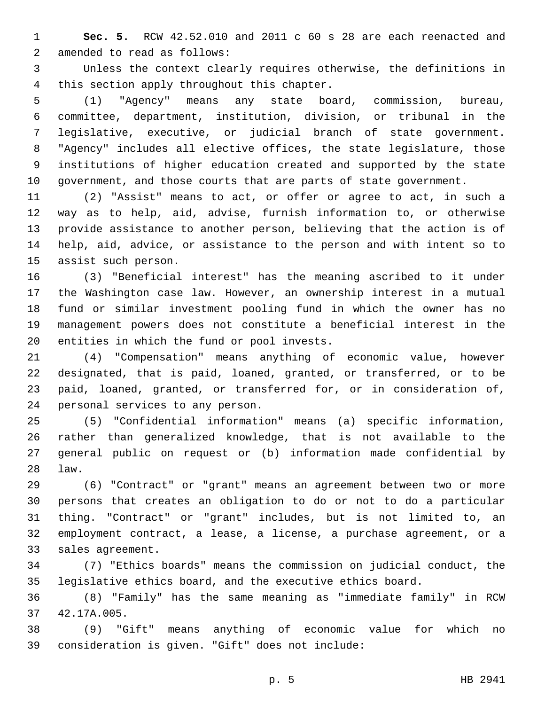**Sec. 5.** RCW 42.52.010 and 2011 c 60 s 28 are each reenacted and 2 amended to read as follows:

 Unless the context clearly requires otherwise, the definitions in 4 this section apply throughout this chapter.

 (1) "Agency" means any state board, commission, bureau, committee, department, institution, division, or tribunal in the legislative, executive, or judicial branch of state government. "Agency" includes all elective offices, the state legislature, those institutions of higher education created and supported by the state government, and those courts that are parts of state government.

 (2) "Assist" means to act, or offer or agree to act, in such a way as to help, aid, advise, furnish information to, or otherwise provide assistance to another person, believing that the action is of help, aid, advice, or assistance to the person and with intent so to 15 assist such person.

 (3) "Beneficial interest" has the meaning ascribed to it under the Washington case law. However, an ownership interest in a mutual fund or similar investment pooling fund in which the owner has no management powers does not constitute a beneficial interest in the 20 entities in which the fund or pool invests.

 (4) "Compensation" means anything of economic value, however designated, that is paid, loaned, granted, or transferred, or to be paid, loaned, granted, or transferred for, or in consideration of, 24 personal services to any person.

 (5) "Confidential information" means (a) specific information, rather than generalized knowledge, that is not available to the general public on request or (b) information made confidential by law.28

 (6) "Contract" or "grant" means an agreement between two or more persons that creates an obligation to do or not to do a particular thing. "Contract" or "grant" includes, but is not limited to, an employment contract, a lease, a license, a purchase agreement, or a 33 sales agreement.

 (7) "Ethics boards" means the commission on judicial conduct, the legislative ethics board, and the executive ethics board.

 (8) "Family" has the same meaning as "immediate family" in RCW 42.17A.005.37

 (9) "Gift" means anything of economic value for which no 39 consideration is given. "Gift" does not include: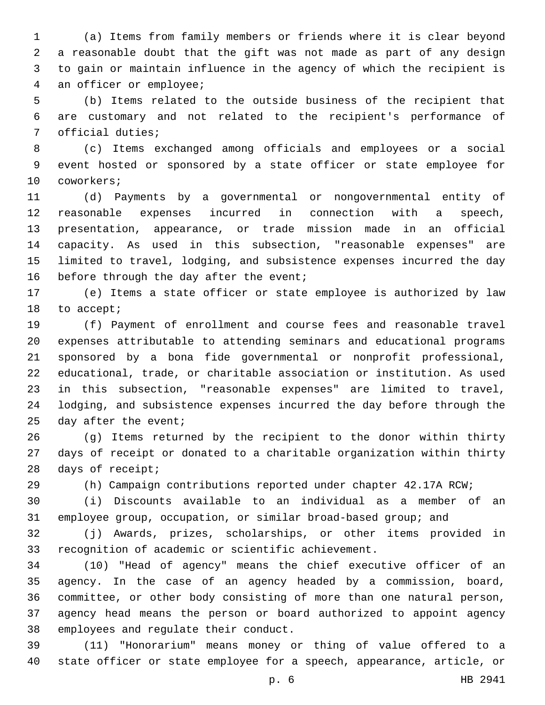(a) Items from family members or friends where it is clear beyond a reasonable doubt that the gift was not made as part of any design to gain or maintain influence in the agency of which the recipient is 4 an officer or employee;

 (b) Items related to the outside business of the recipient that are customary and not related to the recipient's performance of 7 official duties;

 (c) Items exchanged among officials and employees or a social event hosted or sponsored by a state officer or state employee for 10 coworkers;

 (d) Payments by a governmental or nongovernmental entity of reasonable expenses incurred in connection with a speech, presentation, appearance, or trade mission made in an official capacity. As used in this subsection, "reasonable expenses" are limited to travel, lodging, and subsistence expenses incurred the day 16 before through the day after the event;

 (e) Items a state officer or state employee is authorized by law 18 to accept;

 (f) Payment of enrollment and course fees and reasonable travel expenses attributable to attending seminars and educational programs sponsored by a bona fide governmental or nonprofit professional, educational, trade, or charitable association or institution. As used in this subsection, "reasonable expenses" are limited to travel, lodging, and subsistence expenses incurred the day before through the day after the event;

 (g) Items returned by the recipient to the donor within thirty days of receipt or donated to a charitable organization within thirty 28 days of receipt;

(h) Campaign contributions reported under chapter 42.17A RCW;

 (i) Discounts available to an individual as a member of an employee group, occupation, or similar broad-based group; and

 (j) Awards, prizes, scholarships, or other items provided in recognition of academic or scientific achievement.

 (10) "Head of agency" means the chief executive officer of an agency. In the case of an agency headed by a commission, board, committee, or other body consisting of more than one natural person, agency head means the person or board authorized to appoint agency 38 employees and regulate their conduct.

 (11) "Honorarium" means money or thing of value offered to a state officer or state employee for a speech, appearance, article, or

p. 6 HB 2941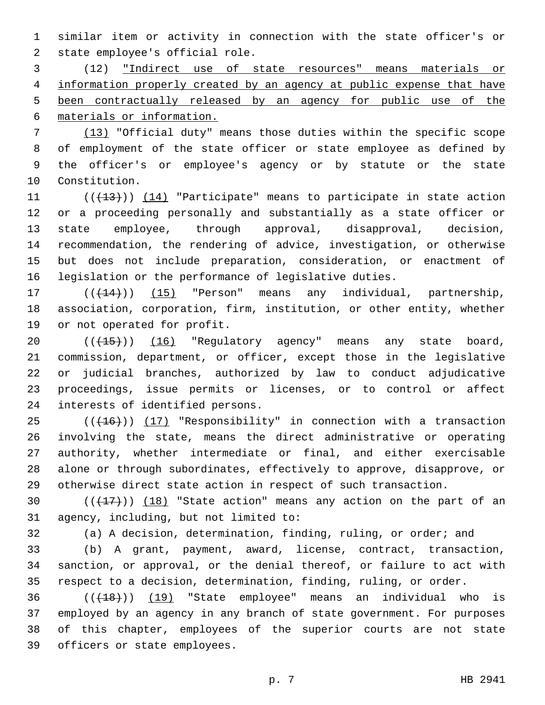similar item or activity in connection with the state officer's or 2 state employee's official role.

 (12) "Indirect use of state resources" means materials or information properly created by an agency at public expense that have been contractually released by an agency for public use of the materials or information.

 (13) "Official duty" means those duties within the specific scope of employment of the state officer or state employee as defined by the officer's or employee's agency or by statute or the state 10 Constitution.

11 ((+13))) (14) "Participate" means to participate in state action or a proceeding personally and substantially as a state officer or state employee, through approval, disapproval, decision, recommendation, the rendering of advice, investigation, or otherwise but does not include preparation, consideration, or enactment of legislation or the performance of legislative duties.

17 (( $(14)$ )) (15) "Person" means any individual, partnership, association, corporation, firm, institution, or other entity, whether 19 or not operated for profit.

20 (( $\left(\frac{15}{15}\right)$ ) (16) "Regulatory agency" means any state board, commission, department, or officer, except those in the legislative or judicial branches, authorized by law to conduct adjudicative proceedings, issue permits or licenses, or to control or affect 24 interests of identified persons.

 (( $(16)$ )) (17) "Responsibility" in connection with a transaction involving the state, means the direct administrative or operating authority, whether intermediate or final, and either exercisable alone or through subordinates, effectively to approve, disapprove, or otherwise direct state action in respect of such transaction.

30  $((+17))$   $(18)$  "State action" means any action on the part of an 31 agency, including, but not limited to:

(a) A decision, determination, finding, ruling, or order; and

 (b) A grant, payment, award, license, contract, transaction, sanction, or approval, or the denial thereof, or failure to act with respect to a decision, determination, finding, ruling, or order.

  $((+18))$   $(19)$  "State employee" means an individual who is employed by an agency in any branch of state government. For purposes of this chapter, employees of the superior courts are not state 39 officers or state employees.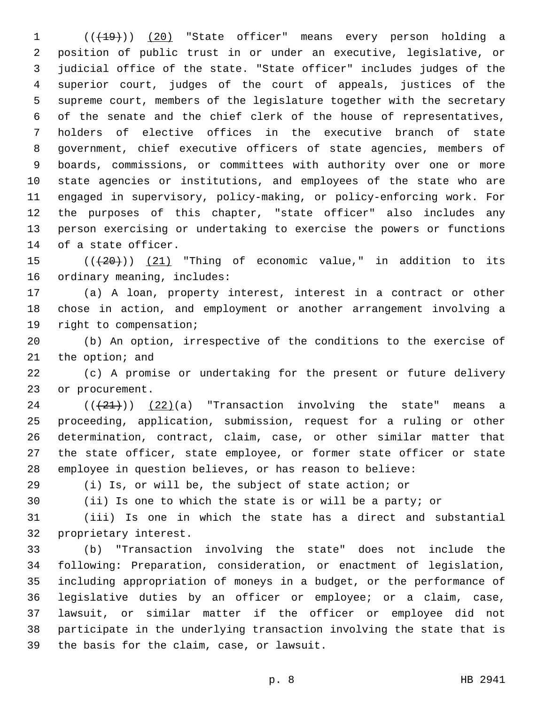1 (( $(19)$ ) (20) "State officer" means every person holding a position of public trust in or under an executive, legislative, or judicial office of the state. "State officer" includes judges of the superior court, judges of the court of appeals, justices of the supreme court, members of the legislature together with the secretary of the senate and the chief clerk of the house of representatives, holders of elective offices in the executive branch of state government, chief executive officers of state agencies, members of boards, commissions, or committees with authority over one or more state agencies or institutions, and employees of the state who are engaged in supervisory, policy-making, or policy-enforcing work. For the purposes of this chapter, "state officer" also includes any person exercising or undertaking to exercise the powers or functions 14 of a state officer.

15  $((+20))$  (21) "Thing of economic value," in addition to its 16 ordinary meaning, includes:

 (a) A loan, property interest, interest in a contract or other chose in action, and employment or another arrangement involving a 19 right to compensation;

 (b) An option, irrespective of the conditions to the exercise of 21 the option; and

 (c) A promise or undertaking for the present or future delivery 23 or procurement.

 (( $(21)$ )) (22)(a) "Transaction involving the state" means a proceeding, application, submission, request for a ruling or other determination, contract, claim, case, or other similar matter that the state officer, state employee, or former state officer or state employee in question believes, or has reason to believe:

(i) Is, or will be, the subject of state action; or

(ii) Is one to which the state is or will be a party; or

(iii) Is one in which the state has a direct and substantial

32 proprietary interest.

 (b) "Transaction involving the state" does not include the following: Preparation, consideration, or enactment of legislation, including appropriation of moneys in a budget, or the performance of legislative duties by an officer or employee; or a claim, case, lawsuit, or similar matter if the officer or employee did not participate in the underlying transaction involving the state that is 39 the basis for the claim, case, or lawsuit.